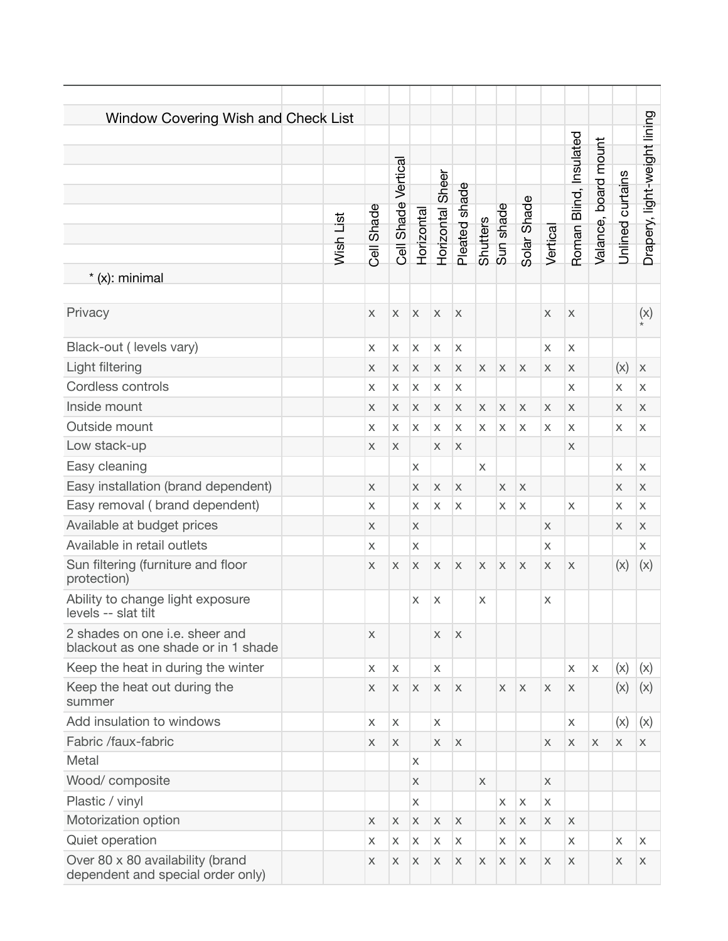| Window Covering Wish and Check List<br>$*(x)$ : minimal               | Wish List | Shade<br>Cell             | Cell Shade Vertical | Horizontal  | Horizontal Sheer | Pleated shade             | <b>Shutters</b>           | Sun shade    | Solar Shade  | Vertical                  | Roman Blind, Insulated | Valance, board mount | Unlined curtains | Drapery, light-weight lining |
|-----------------------------------------------------------------------|-----------|---------------------------|---------------------|-------------|------------------|---------------------------|---------------------------|--------------|--------------|---------------------------|------------------------|----------------------|------------------|------------------------------|
| Privacy                                                               |           | $\boldsymbol{\mathsf{X}}$ | $\mathsf X$         | X           | X                | $\mathsf X$               |                           |              |              | $\boldsymbol{\mathsf{X}}$ | $\mathsf X$            |                      |                  | (x)                          |
| Black-out (levels vary)                                               |           | X                         | X                   | X           | X                | $\boldsymbol{\mathsf{X}}$ |                           |              |              | X                         | $\mathsf{X}$           |                      |                  |                              |
| Light filtering                                                       |           | X                         | X                   | $\mathsf X$ | X                | $\mathsf X$               | $\mathsf X$               | $\mathsf X$  | $\mathsf X$  | $\boldsymbol{\mathsf{X}}$ | X                      |                      | (x)              | $\boldsymbol{\mathsf{X}}$    |
| Cordless controls                                                     |           | X                         | X                   | Χ           | Χ                | X                         |                           |              |              |                           | X                      |                      | X                | X                            |
| Inside mount                                                          |           | X                         | X                   | X           | X                | X                         | $\boldsymbol{\mathsf{X}}$ | $\mathsf{X}$ | X            | X                         | X                      |                      | X                | X                            |
| Outside mount                                                         |           | X                         | X                   | Χ           | Χ                | X                         | X                         | X            | X            | X                         | X                      |                      | X                | X                            |
| Low stack-up                                                          |           | X                         | X                   |             | X                | $\mathsf X$               |                           |              |              |                           | X                      |                      |                  |                              |
| Easy cleaning                                                         |           |                           |                     | X           |                  |                           | $\mathsf{X}$              |              |              |                           |                        |                      | $\mathsf{X}$     | X                            |
| Easy installation (brand dependent)                                   |           | X                         |                     | X           | X                | X                         |                           | $\chi$       | X            |                           |                        |                      | X                | X                            |
| Easy removal (brand dependent)                                        |           | X                         |                     | X           | X                | X                         |                           | X            | X            |                           | X                      |                      | X                | X                            |
| Available at budget prices                                            |           | X                         |                     | X           |                  |                           |                           |              |              | $\times$                  |                        |                      | X                | X                            |
| Available in retail outlets                                           |           | X                         |                     | X           |                  |                           |                           |              |              | X                         |                        |                      |                  | X                            |
| Sun filtering (furniture and floor<br>protection)                     |           | $\times$                  | X                   | $\times$    | $\times$         | $\mathsf X$               | $\times$                  | $\mathsf{X}$ | $\times$     | $\times$                  | X                      |                      | (x)              | (x)                          |
| Ability to change light exposure<br>levels -- slat tilt               |           |                           |                     | Χ           | X                |                           | X                         |              |              | X                         |                        |                      |                  |                              |
| 2 shades on one i.e. sheer and<br>blackout as one shade or in 1 shade |           | $\times$                  |                     |             | X                | $\mathsf{X}$              |                           |              |              |                           |                        |                      |                  |                              |
| Keep the heat in during the winter                                    |           | X                         | X                   |             | $\mathsf{X}$     |                           |                           |              |              |                           | X                      | $\mathsf X$          | (x)              | (x)                          |
| Keep the heat out during the<br>summer                                |           | X                         | X                   | X           | X                | $\mathsf X$               |                           | X            | $\mathsf{X}$ | $\boldsymbol{\mathsf{X}}$ | X                      |                      | (x)              | (x)                          |
| Add insulation to windows                                             |           | X                         | X                   |             | X.               |                           |                           |              |              |                           | X                      |                      | (x)              | (x)                          |
| Fabric /faux-fabric                                                   |           | X                         | X                   |             | X                | $\mathsf X$               |                           |              |              | X                         | X                      | X                    | X                | X                            |
| Metal                                                                 |           |                           |                     | X           |                  |                           |                           |              |              |                           |                        |                      |                  |                              |
| Wood/composite                                                        |           |                           |                     | X           |                  |                           | $\mathsf{X}$              |              |              | $\times$                  |                        |                      |                  |                              |
| Plastic / vinyl                                                       |           |                           |                     | X           |                  |                           |                           | $\mathsf{X}$ | X            | X                         |                        |                      |                  |                              |
| Motorization option                                                   |           | X                         | X                   | X           | X                | X                         |                           | X            | X            | X                         | X                      |                      |                  |                              |
| Quiet operation                                                       |           | X                         | Χ                   | Χ           | Χ                | Χ                         |                           | X            | X            |                           | X                      |                      | X                | X                            |
| Over 80 x 80 availability (brand<br>dependent and special order only) |           | X                         | X                   | X           | X                | X                         | X                         | X            | X            | X                         | X                      |                      | X                | Χ                            |